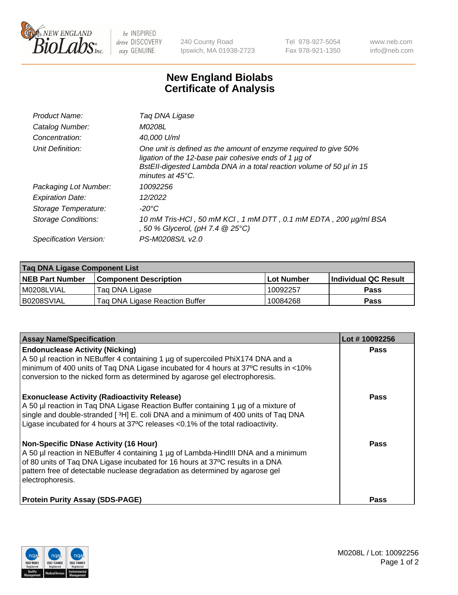

 $be$  INSPIRED drive DISCOVERY stay GENUINE

240 County Road Ipswich, MA 01938-2723 Tel 978-927-5054 Fax 978-921-1350 www.neb.com info@neb.com

## **New England Biolabs Certificate of Analysis**

| Product Name:              | Taq DNA Ligase                                                                                                                                                                                                                  |
|----------------------------|---------------------------------------------------------------------------------------------------------------------------------------------------------------------------------------------------------------------------------|
| Catalog Number:            | M0208L                                                                                                                                                                                                                          |
| Concentration:             | 40,000 U/ml                                                                                                                                                                                                                     |
| Unit Definition:           | One unit is defined as the amount of enzyme required to give 50%<br>ligation of the 12-base pair cohesive ends of 1 µg of<br>BstEll-digested Lambda DNA in a total reaction volume of 50 µl in 15<br>minutes at $45^{\circ}$ C. |
| Packaging Lot Number:      | 10092256                                                                                                                                                                                                                        |
| <b>Expiration Date:</b>    | 12/2022                                                                                                                                                                                                                         |
| Storage Temperature:       | $-20^{\circ}$ C                                                                                                                                                                                                                 |
| <b>Storage Conditions:</b> | 10 mM Tris-HCl, 50 mM KCl, 1 mM DTT, 0.1 mM EDTA, 200 µg/ml BSA<br>, 50 % Glycerol, (pH 7.4 @ 25°C)                                                                                                                             |
| Specification Version:     | PS-M0208S/L v2.0                                                                                                                                                                                                                |

| Taq DNA Ligase Component List |                                |            |                      |  |
|-------------------------------|--------------------------------|------------|----------------------|--|
| <b>NEB Part Number</b>        | <b>Component Description</b>   | Lot Number | Individual QC Result |  |
| I M0208LVIAL                  | Tag DNA Ligase                 | 10092257   | <b>Pass</b>          |  |
| B0208SVIAL                    | Taq DNA Ligase Reaction Buffer | 10084268   | Pass                 |  |

| <b>Assay Name/Specification</b>                                                                                                                                                                                                                                                                                         | Lot #10092256 |
|-------------------------------------------------------------------------------------------------------------------------------------------------------------------------------------------------------------------------------------------------------------------------------------------------------------------------|---------------|
| <b>Endonuclease Activity (Nicking)</b><br>A 50 µl reaction in NEBuffer 4 containing 1 µg of supercoiled PhiX174 DNA and a<br>minimum of 400 units of Taq DNA Ligase incubated for 4 hours at 37°C results in <10%<br>conversion to the nicked form as determined by agarose gel electrophoresis.                        | <b>Pass</b>   |
| <b>Exonuclease Activity (Radioactivity Release)</b><br>A 50 µl reaction in Taq DNA Ligase Reaction Buffer containing 1 µg of a mixture of<br>single and double-stranded [3H] E. coli DNA and a minimum of 400 units of Taq DNA<br>Ligase incubated for 4 hours at 37°C releases <0.1% of the total radioactivity.       | Pass          |
| <b>Non-Specific DNase Activity (16 Hour)</b><br>A 50 µl reaction in NEBuffer 4 containing 1 µg of Lambda-HindIII DNA and a minimum<br>of 80 units of Taq DNA Ligase incubated for 16 hours at 37°C results in a DNA<br>pattern free of detectable nuclease degradation as determined by agarose gel<br>electrophoresis. | Pass          |
| <b>Protein Purity Assay (SDS-PAGE)</b>                                                                                                                                                                                                                                                                                  | Pass          |